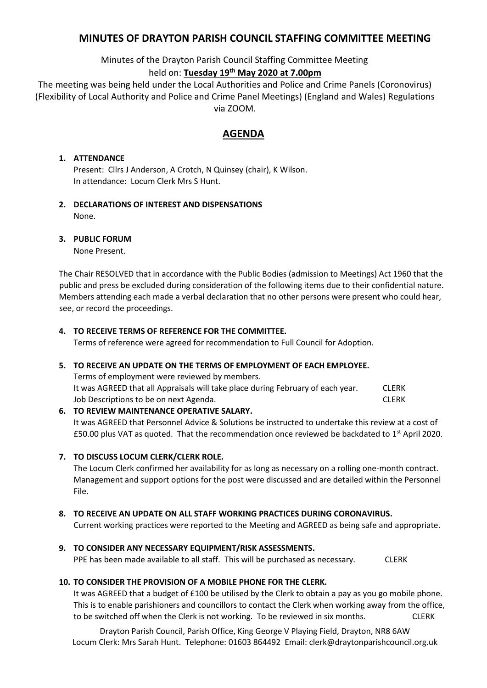# **MINUTES OF DRAYTON PARISH COUNCIL STAFFING COMMITTEE MEETING**

Minutes of the Drayton Parish Council Staffing Committee Meeting

# held on: **Tuesday 19 th May 2020 at 7.00pm**

The meeting was being held under the Local Authorities and Police and Crime Panels (Coronovirus) (Flexibility of Local Authority and Police and Crime Panel Meetings) (England and Wales) Regulations via ZOOM.

# **AGENDA**

## **1. ATTENDANCE**

Present: Cllrs J Anderson, A Crotch, N Quinsey (chair), K Wilson. In attendance: Locum Clerk Mrs S Hunt.

**2. DECLARATIONS OF INTEREST AND DISPENSATIONS** None.

### **3. PUBLIC FORUM**

None Present.

The Chair RESOLVED that in accordance with the Public Bodies (admission to Meetings) Act 1960 that the public and press be excluded during consideration of the following items due to their confidential nature. Members attending each made a verbal declaration that no other persons were present who could hear, see, or record the proceedings.

### **4. TO RECEIVE TERMS OF REFERENCE FOR THE COMMITTEE.**

Terms of reference were agreed for recommendation to Full Council for Adoption.

#### **5. TO RECEIVE AN UPDATE ON THE TERMS OF EMPLOYMENT OF EACH EMPLOYEE.**

Terms of employment were reviewed by members. It was AGREED that all Appraisals will take place during February of each year. CLERK Job Descriptions to be on next Agenda. CLERK

**6. TO REVIEW MAINTENANCE OPERATIVE SALARY.** It was AGREED that Personnel Advice & Solutions be instructed to undertake this review at a cost of £50.00 plus VAT as quoted. That the recommendation once reviewed be backdated to 1<sup>st</sup> April 2020.

**7. TO DISCUSS LOCUM CLERK/CLERK ROLE.**

The Locum Clerk confirmed her availability for as long as necessary on a rolling one-month contract. Management and support options for the post were discussed and are detailed within the Personnel File.

## **8. TO RECEIVE AN UPDATE ON ALL STAFF WORKING PRACTICES DURING CORONAVIRUS.**

Current working practices were reported to the Meeting and AGREED as being safe and appropriate.

**9. TO CONSIDER ANY NECESSARY EQUIPMENT/RISK ASSESSMENTS.** PPE has been made available to all staff. This will be purchased as necessary. CLERK

## **10. TO CONSIDER THE PROVISION OF A MOBILE PHONE FOR THE CLERK.**

It was AGREED that a budget of £100 be utilised by the Clerk to obtain a pay as you go mobile phone. This is to enable parishioners and councillors to contact the Clerk when working away from the office, to be switched off when the Clerk is not working. To be reviewed in six months. CLERK

Drayton Parish Council, Parish Office, King George V Playing Field, Drayton, NR8 6AW Locum Clerk: Mrs Sarah Hunt. Telephone: 01603 864492 Email: clerk@draytonparishcouncil.org.uk